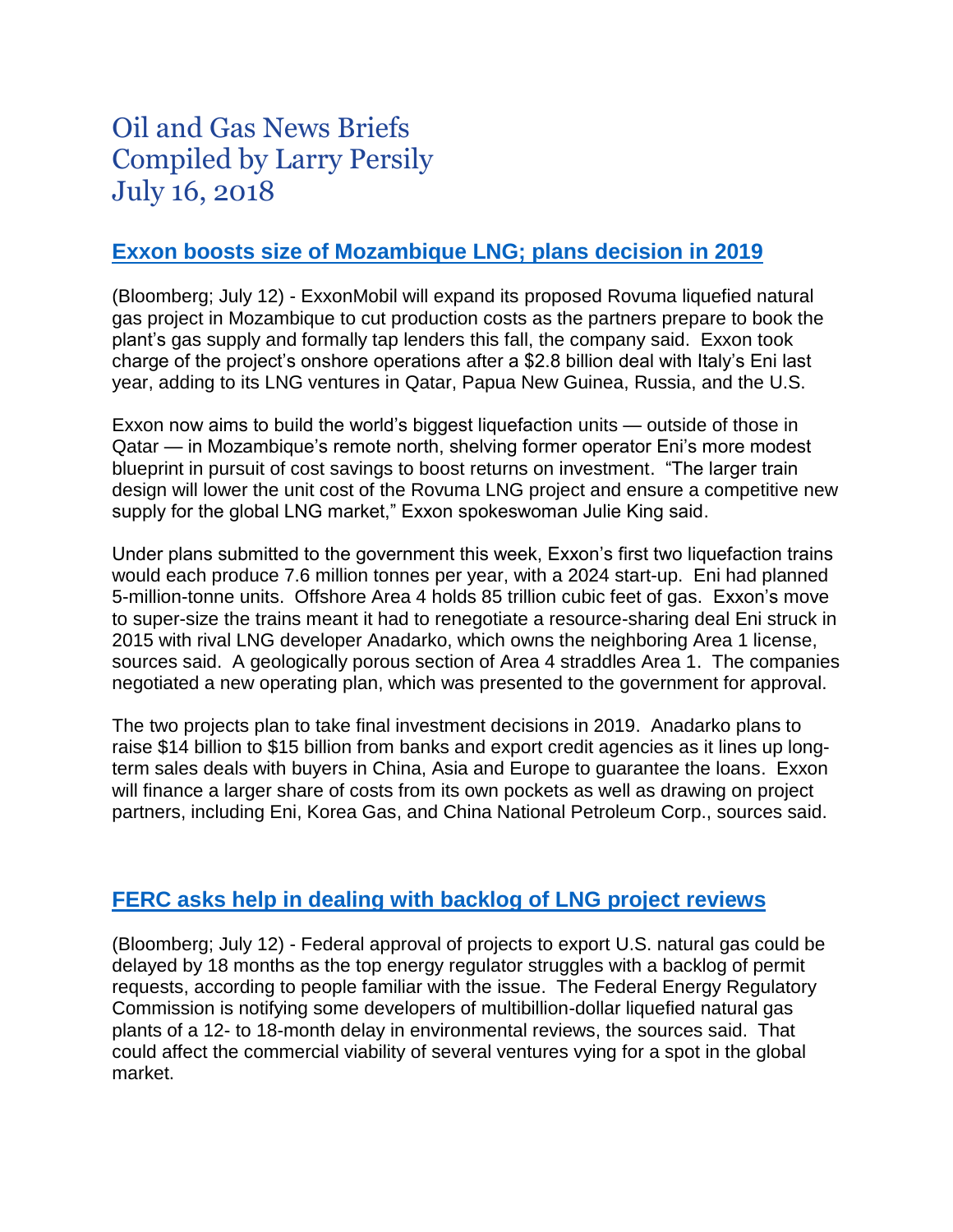# Oil and Gas News Briefs Compiled by Larry Persily July 16, 2018

# **[Exxon boosts size of Mozambique LNG; plans decision in 2019](http://www.euronews.com/2018/07/12/exxon-expands-mozambique-lng-project-to-cut-costs-ahead-of-bank-talks)**

(Bloomberg; July 12) - ExxonMobil will expand its proposed Rovuma liquefied natural gas project in Mozambique to cut production costs as the partners prepare to book the plant's gas supply and formally tap lenders this fall, the company said. Exxon took charge of the project's onshore operations after a \$2.8 billion deal with Italy's Eni last year, adding to its LNG ventures in Qatar, Papua New Guinea, Russia, and the U.S.

Exxon now aims to build the world's biggest liquefaction units — outside of those in Qatar — in Mozambique's remote north, shelving former operator Eni's more modest blueprint in pursuit of cost savings to boost returns on investment. "The larger train design will lower the unit cost of the Rovuma LNG project and ensure a competitive new supply for the global LNG market," Exxon spokeswoman Julie King said.

Under plans submitted to the government this week, Exxon's first two liquefaction trains would each produce 7.6 million tonnes per year, with a 2024 start-up. Eni had planned 5-million-tonne units. Offshore Area 4 holds 85 trillion cubic feet of gas. Exxon's move to super-size the trains meant it had to renegotiate a resource-sharing deal Eni struck in 2015 with rival LNG developer Anadarko, which owns the neighboring Area 1 license, sources said. A geologically porous section of Area 4 straddles Area 1. The companies negotiated a new operating plan, which was presented to the government for approval.

The two projects plan to take final investment decisions in 2019. Anadarko plans to raise \$14 billion to \$15 billion from banks and export credit agencies as it lines up longterm sales deals with buyers in China, Asia and Europe to guarantee the loans. Exxon will finance a larger share of costs from its own pockets as well as drawing on project partners, including Eni, Korea Gas, and China National Petroleum Corp., sources said.

### **[FERC asks help in dealing with backlog of LNG project](http://www.crainscleveland.com/article/20180712/news/168086/shale-gas-export-projects-said-face-us-permit-delays) reviews**

(Bloomberg; July 12) - Federal approval of projects to export U.S. natural gas could be delayed by 18 months as the top energy regulator struggles with a backlog of permit requests, according to people familiar with the issue. The Federal Energy Regulatory Commission is notifying some developers of multibillion-dollar liquefied natural gas plants of a 12- to 18-month delay in environmental reviews, the sources said. That could affect the commercial viability of several ventures vying for a spot in the global market.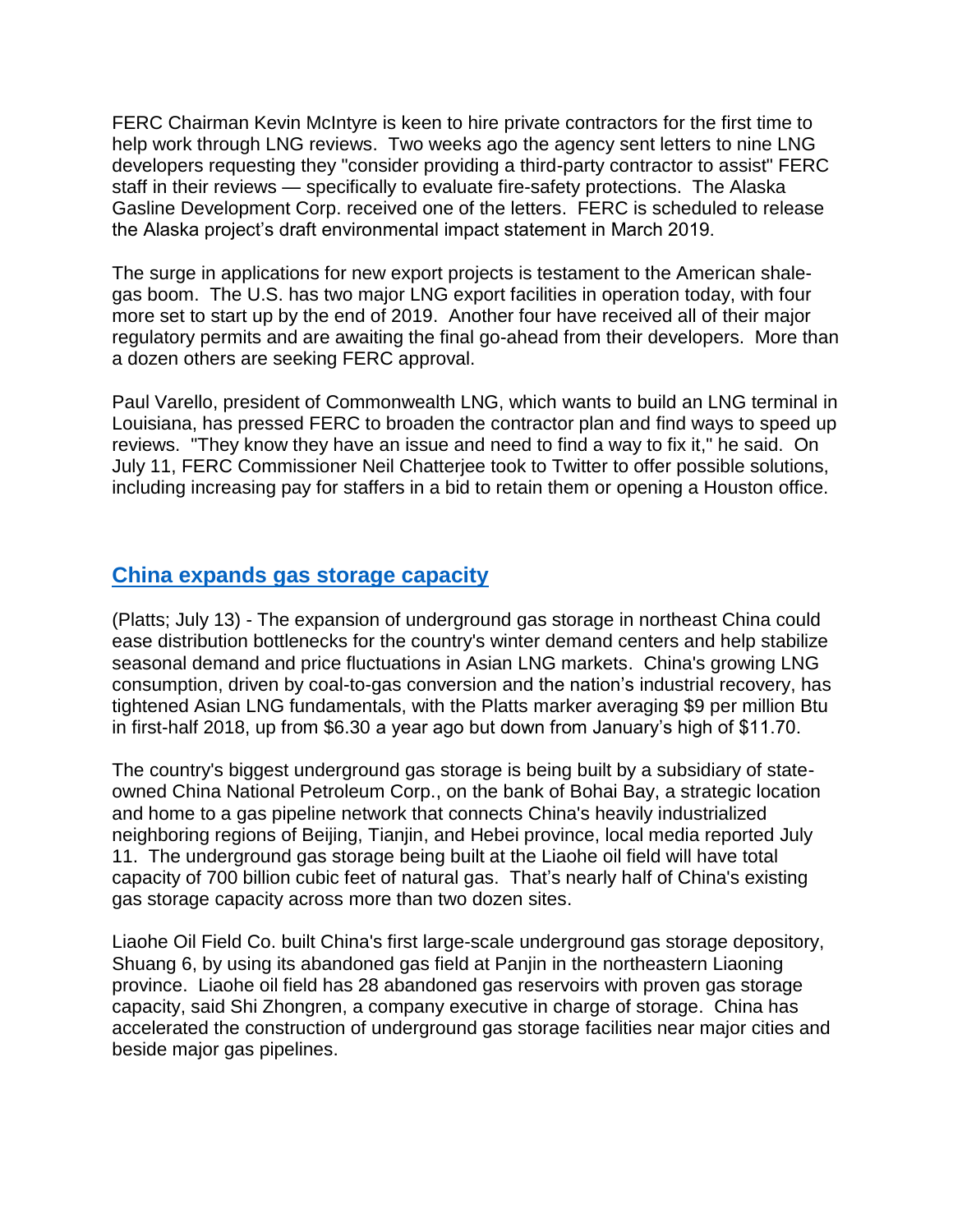FERC Chairman Kevin McIntyre is keen to hire private contractors for the first time to help work through LNG reviews. Two weeks ago the agency sent letters to nine LNG developers requesting they "consider providing a third-party contractor to assist" FERC staff in their reviews — specifically to evaluate fire-safety protections. The Alaska Gasline Development Corp. received one of the letters. FERC is scheduled to release the Alaska project's draft environmental impact statement in March 2019.

The surge in applications for new export projects is testament to the American shalegas boom. The U.S. has two major LNG export facilities in operation today, with four more set to start up by the end of 2019. Another four have received all of their major regulatory permits and are awaiting the final go-ahead from their developers. More than a dozen others are seeking FERC approval.

Paul Varello, president of Commonwealth LNG, which wants to build an LNG terminal in Louisiana, has pressed FERC to broaden the contractor plan and find ways to speed up reviews. "They know they have an issue and need to find a way to fix it," he said. On July 11, FERC Commissioner Neil Chatterjee took to Twitter to offer possible solutions, including increasing pay for staffers in a bid to retain them or opening a Houston office.

### **[China expands gas storage capacity](https://www.platts.ru/latest-news/natural-gas/singapore/analysis-chinas-expanding-underground-gas-storage-27011405)**

(Platts; July 13) - The expansion of underground gas storage in northeast China could ease distribution bottlenecks for the country's winter demand centers and help stabilize seasonal demand and price fluctuations in Asian LNG markets. China's growing LNG consumption, driven by coal-to-gas conversion and the nation's industrial recovery, has tightened Asian LNG fundamentals, with the Platts marker averaging \$9 per million Btu in first-half 2018, up from \$6.30 a year ago but down from January's high of \$11.70.

The country's biggest underground gas storage is being built by a subsidiary of stateowned China National Petroleum Corp., on the bank of Bohai Bay, a strategic location and home to a gas pipeline network that connects China's heavily industrialized neighboring regions of Beijing, Tianjin, and Hebei province, local media reported July 11. The underground gas storage being built at the Liaohe oil field will have total capacity of 700 billion cubic feet of natural gas. That's nearly half of China's existing gas storage capacity across more than two dozen sites.

Liaohe Oil Field Co. built China's first large-scale underground gas storage depository, Shuang 6, by using its abandoned gas field at Panjin in the northeastern Liaoning province. Liaohe oil field has 28 abandoned gas reservoirs with proven gas storage capacity, said Shi Zhongren, a company executive in charge of storage. China has accelerated the construction of underground gas storage facilities near major cities and beside major gas pipelines.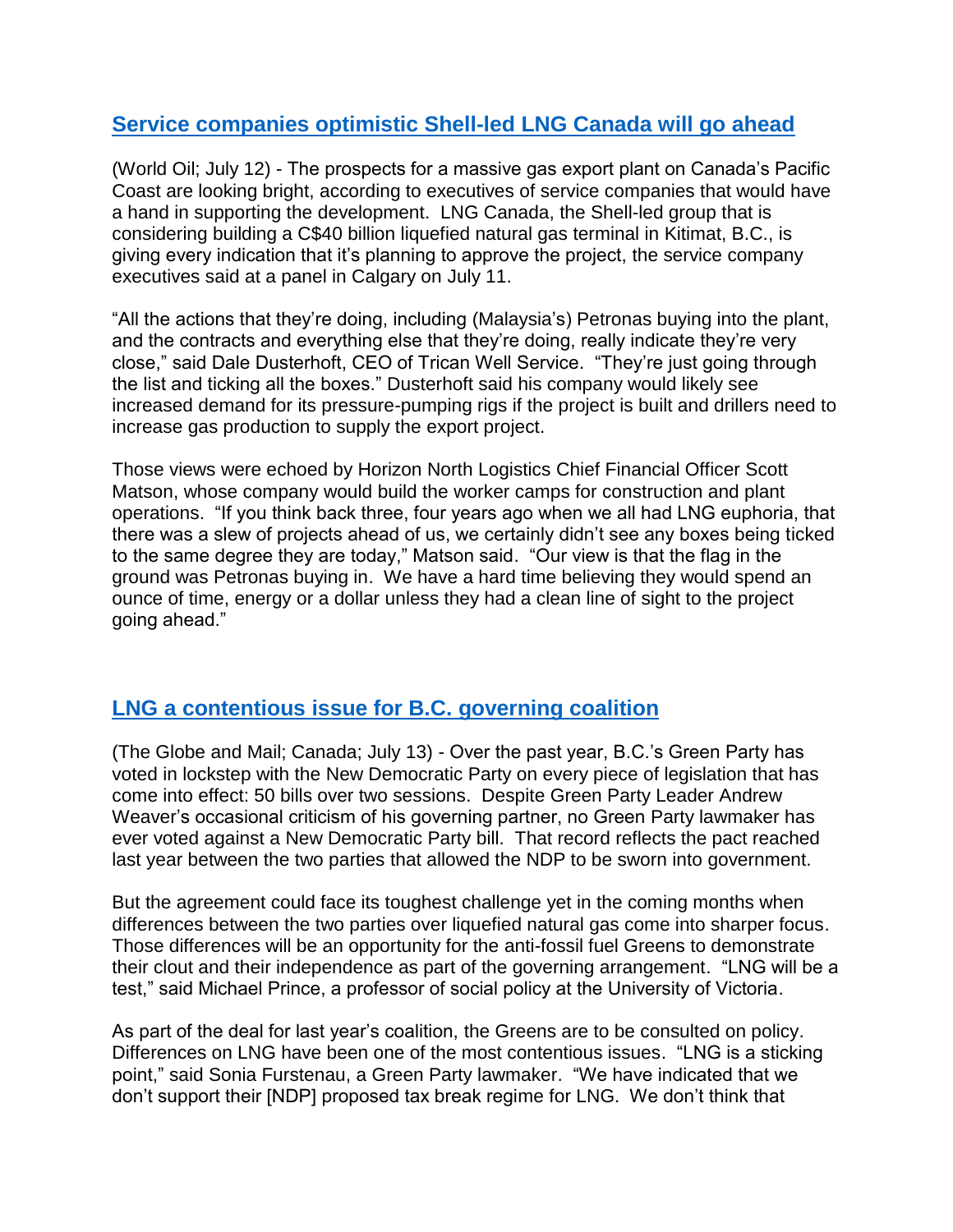# **[Service companies optimistic Shell-led LNG Canada will go ahead](http://www.worldoil.com/news/2018/7/12/lng-canada-nearing-approval-of-lng-facility-servicers-say)**

(World Oil; July 12) - The prospects for a massive gas export plant on Canada's Pacific Coast are looking bright, according to executives of service companies that would have a hand in supporting the development. LNG Canada, the Shell-led group that is considering building a C\$40 billion liquefied natural gas terminal in Kitimat, B.C., is giving every indication that it's planning to approve the project, the service company executives said at a panel in Calgary on July 11.

"All the actions that they're doing, including (Malaysia's) Petronas buying into the plant, and the contracts and everything else that they're doing, really indicate they're very close," said Dale Dusterhoft, CEO of Trican Well Service. "They're just going through the list and ticking all the boxes." Dusterhoft said his company would likely see increased demand for its pressure-pumping rigs if the project is built and drillers need to increase gas production to supply the export project.

Those views were echoed by Horizon North Logistics Chief Financial Officer Scott Matson, whose company would build the worker camps for construction and plant operations. "If you think back three, four years ago when we all had LNG euphoria, that there was a slew of projects ahead of us, we certainly didn't see any boxes being ticked to the same degree they are today," Matson said. "Our view is that the flag in the ground was Petronas buying in. We have a hard time believing they would spend an ounce of time, energy or a dollar unless they had a clean line of sight to the project going ahead."

### **[LNG a contentious issue for B.C.](https://www.theglobeandmail.com/canada/british-columbia/article-lng-decision-will-be-first-real-test-of-ndp-green-alliance-in-bc/) governing coalition**

(The Globe and Mail; Canada; July 13) - Over the past year, B.C.'s Green Party has voted in lockstep with the New Democratic Party on every piece of legislation that has come into effect: 50 bills over two sessions. Despite Green Party Leader Andrew Weaver's occasional criticism of his governing partner, no Green Party lawmaker has ever voted against a New Democratic Party bill. That record reflects the pact reached last year between the two parties that allowed the NDP to be sworn into government.

But the agreement could face its toughest challenge yet in the coming months when differences between the two parties over liquefied natural gas come into sharper focus. Those differences will be an opportunity for the anti-fossil fuel Greens to demonstrate their clout and their independence as part of the governing arrangement. "LNG will be a test," said Michael Prince, a professor of social policy at the University of Victoria.

As part of the deal for last year's coalition, the Greens are to be consulted on policy. Differences on LNG have been one of the most contentious issues. "LNG is a sticking point," said Sonia Furstenau, a Green Party lawmaker. "We have indicated that we don't support their [NDP] proposed tax break regime for LNG. We don't think that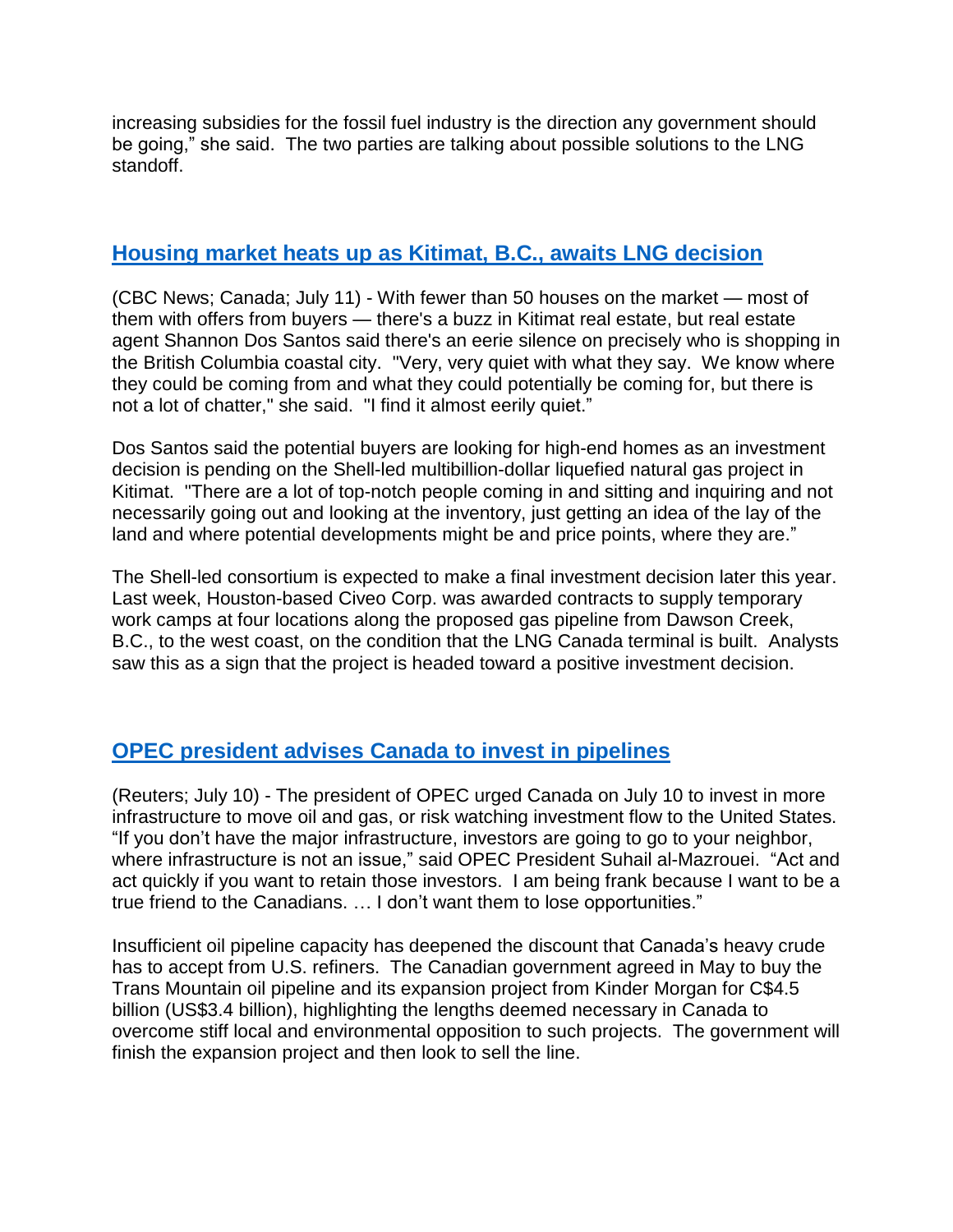increasing subsidies for the fossil fuel industry is the direction any government should be going," she said. The two parties are talking about possible solutions to the LNG standoff.

# **[Housing market heats up as Kitimat, B.C., awaits LNG decision](https://www.cbc.ca/news/canada/british-columbia/kitimat-housing-market-heats-up-with-lng-anticipation-1.4742866)**

(CBC News; Canada; July 11) - With fewer than 50 houses on the market — most of them with offers from buyers — there's a buzz in Kitimat real estate, but real estate agent Shannon Dos Santos said there's an eerie silence on precisely who is shopping in the British Columbia coastal city. "Very, very quiet with what they say. We know where they could be coming from and what they could potentially be coming for, but there is not a lot of chatter," she said. "I find it almost eerily quiet."

Dos Santos said the potential buyers are looking for high-end homes as an investment decision is pending on the Shell-led multibillion-dollar liquefied natural gas project in Kitimat. "There are a lot of top-notch people coming in and sitting and inquiring and not necessarily going out and looking at the inventory, just getting an idea of the lay of the land and where potential developments might be and price points, where they are."

The Shell-led consortium is expected to make a final investment decision later this year. Last week, Houston-based Civeo Corp. was awarded contracts to supply temporary work camps at four locations along the proposed gas pipeline from Dawson Creek, B.C., to the west coast, on the condition that the LNG Canada terminal is built. Analysts saw this as a sign that the project is headed toward a positive investment decision.

# **OPEC [president](https://www.reuters.com/article/us-oil-opec/opec-to-canada-build-pipelines-or-watch-investment-flow-south-idUSKBN1K02PF) advises Canada to invest in pipelines**

(Reuters; July 10) - The president of OPEC urged Canada on July 10 to invest in more infrastructure to move oil and gas, or risk watching investment flow to the United States. "If you don't have the major infrastructure, investors are going to go to your neighbor, where infrastructure is not an issue," said OPEC President Suhail al-Mazrouei. "Act and act quickly if you want to retain those investors. I am being frank because I want to be a true friend to the Canadians. … I don't want them to lose opportunities."

Insufficient oil pipeline capacity has deepened the discount that Canada's heavy crude has to accept from U.S. refiners. The Canadian government agreed in May to buy the Trans Mountain oil pipeline and its expansion project from Kinder Morgan for C\$4.5 billion (US\$3.4 billion), highlighting the lengths deemed necessary in Canada to overcome stiff local and environmental opposition to such projects. The government will finish the expansion project and then look to sell the line.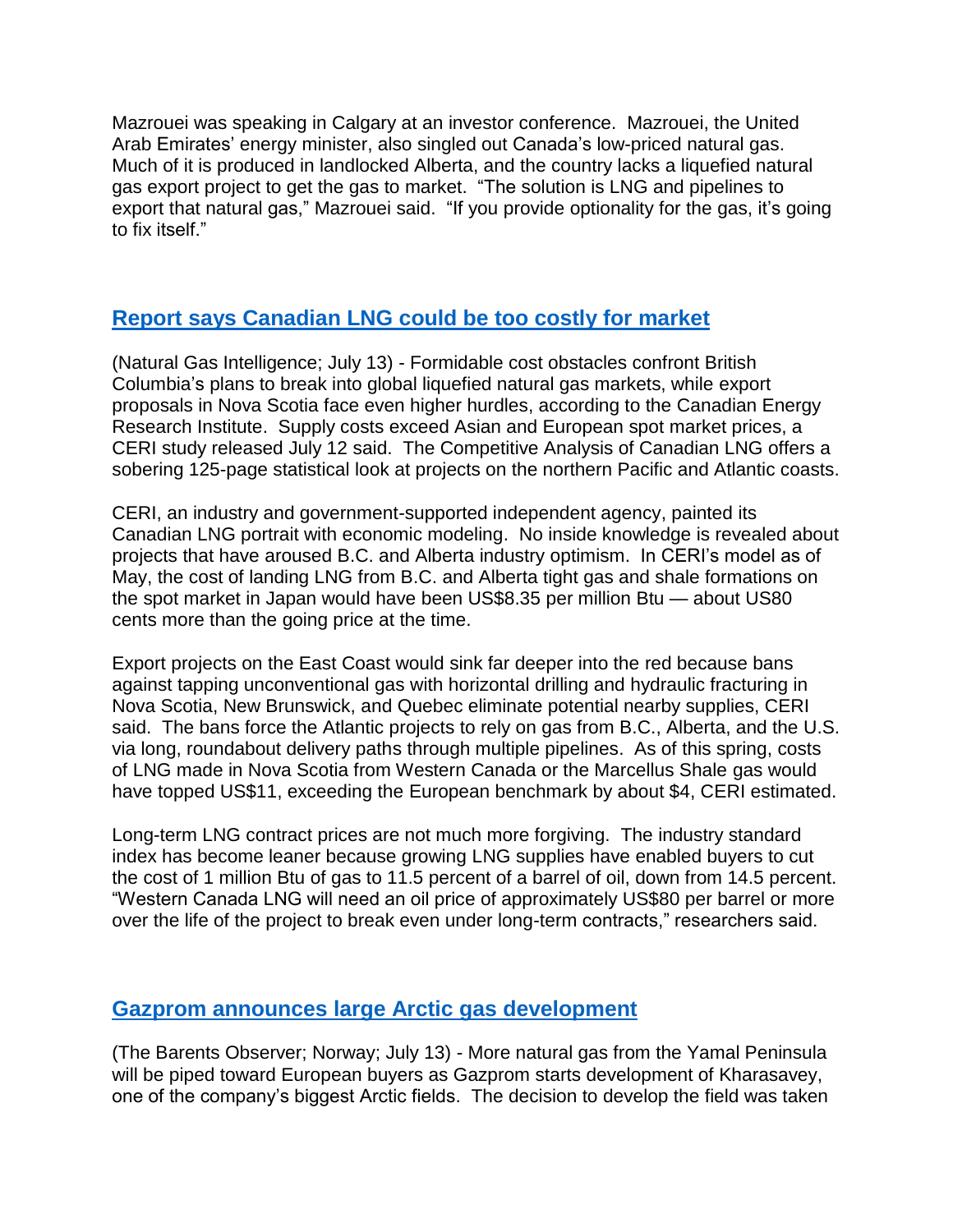Mazrouei was speaking in Calgary at an investor conference. Mazrouei, the United Arab Emirates' energy minister, also singled out Canada's low-priced natural gas. Much of it is produced in landlocked Alberta, and the country lacks a liquefied natural gas export project to get the gas to market. "The solution is LNG and pipelines to export that natural gas," Mazrouei said. "If you provide optionality for the gas, it's going to fix itself."

# **[Report says Canadian LNG could be too costly for market](http://www.naturalgasintel.com/articles/115049-canada-lng-exports----both-west-and-east----facing-global-cost-pressures-says-ceri)**

(Natural Gas Intelligence; July 13) - Formidable cost obstacles confront British Columbia's plans to break into global liquefied natural gas markets, while export proposals in Nova Scotia face even higher hurdles, according to the Canadian Energy Research Institute. Supply costs exceed Asian and European spot market prices, a CERI study released July 12 said. The Competitive Analysis of Canadian LNG offers a sobering 125-page statistical look at projects on the northern Pacific and Atlantic coasts.

CERI, an industry and government-supported independent agency, painted its Canadian LNG portrait with economic modeling. No inside knowledge is revealed about projects that have aroused B.C. and Alberta industry optimism. In CERI's model as of May, the cost of landing LNG from B.C. and Alberta tight gas and shale formations on the spot market in Japan would have been US\$8.35 per million Btu — about US80 cents more than the going price at the time.

Export projects on the East Coast would sink far deeper into the red because bans against tapping unconventional gas with horizontal drilling and hydraulic fracturing in Nova Scotia, New Brunswick, and Quebec eliminate potential nearby supplies, CERI said. The bans force the Atlantic projects to rely on gas from B.C., Alberta, and the U.S. via long, roundabout delivery paths through multiple pipelines. As of this spring, costs of LNG made in Nova Scotia from Western Canada or the Marcellus Shale gas would have topped US\$11, exceeding the European benchmark by about \$4, CERI estimated.

Long-term LNG contract prices are not much more forgiving. The industry standard index has become leaner because growing LNG supplies have enabled buyers to cut the cost of 1 million Btu of gas to 11.5 percent of a barrel of oil, down from 14.5 percent. "Western Canada LNG will need an oil price of approximately US\$80 per barrel or more over the life of the project to break even under long-term contracts," researchers said.

### **[Gazprom announces large Arctic gas development](https://thebarentsobserver.com/en/industry-and-energy/2018/07/gazprom-moves-another-grand-project-yamal-tundra)**

(The Barents Observer; Norway; July 13) - More natural gas from the Yamal Peninsula will be piped toward European buyers as Gazprom starts development of Kharasavey, one of the company's biggest Arctic fields. The decision to develop the field was taken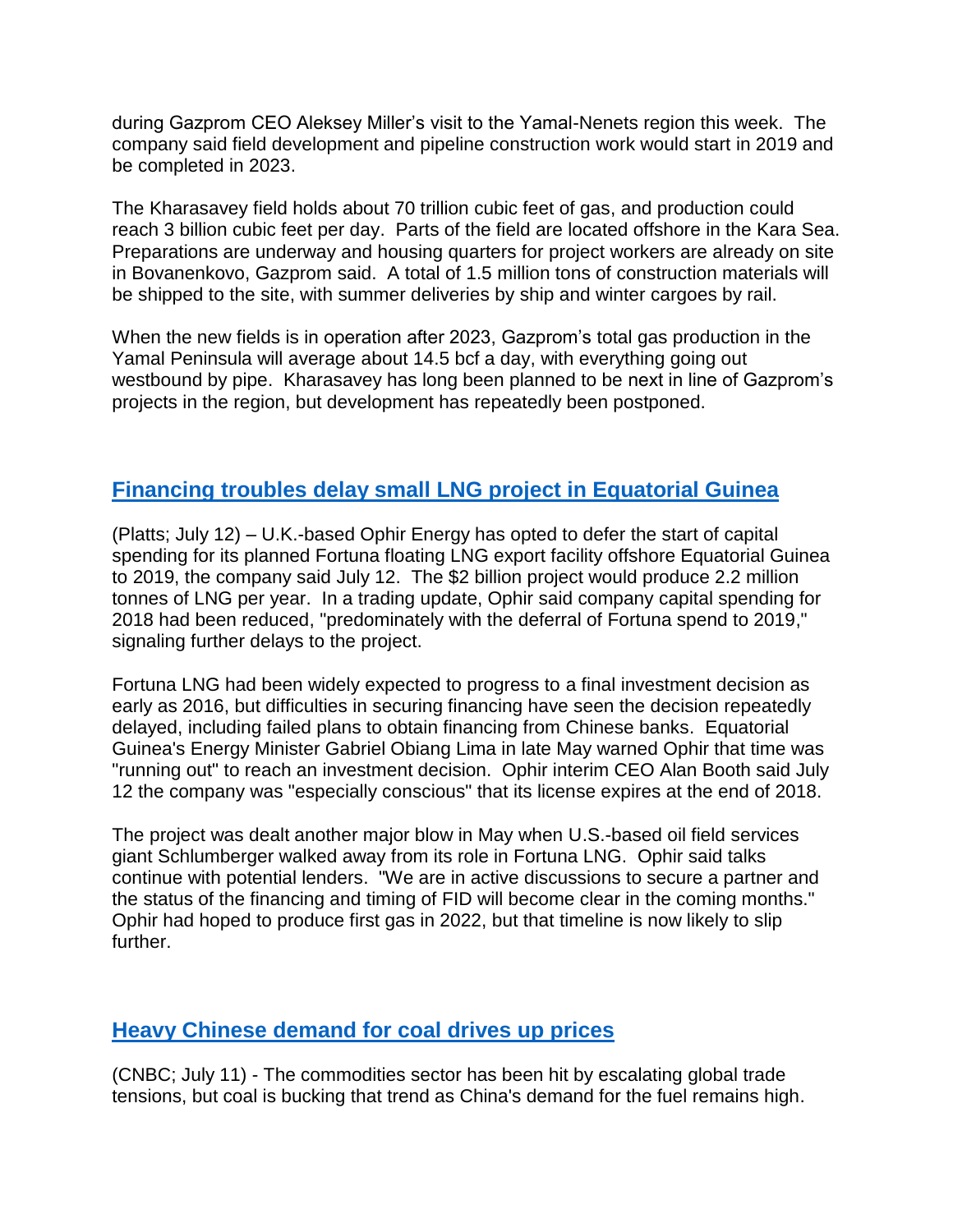during Gazprom CEO Aleksey Miller's visit to the Yamal-Nenets region this week. The company said field development and pipeline construction work would start in 2019 and be completed in 2023.

The Kharasavey field holds about 70 trillion cubic feet of gas, and production could reach 3 billion cubic feet per day. Parts of the field are located offshore in the Kara Sea. Preparations are underway and housing quarters for project workers are already on site in Bovanenkovo, Gazprom said. A total of 1.5 million tons of construction materials will be shipped to the site, with summer deliveries by ship and winter cargoes by rail.

When the new fields is in operation after 2023, Gazprom's total gas production in the Yamal Peninsula will average about 14.5 bcf a day, with everything going out westbound by pipe. Kharasavey has long been planned to be next in line of Gazprom's projects in the region, but development has repeatedly been postponed.

# **Financing troubles [delay small LNG project in Equatorial Guinea](https://www.platts.ru/latest-news/natural-gas/london/uks-ophir-defers-capex-for-fortuna-lng-project-21114652)**

(Platts; July 12) – U.K.-based Ophir Energy has opted to defer the start of capital spending for its planned Fortuna floating LNG export facility offshore Equatorial Guinea to 2019, the company said July 12. The \$2 billion project would produce 2.2 million tonnes of LNG per year. In a trading update, Ophir said company capital spending for 2018 had been reduced, "predominately with the deferral of Fortuna spend to 2019," signaling further delays to the project.

Fortuna LNG had been widely expected to progress to a final investment decision as early as 2016, but difficulties in securing financing have seen the decision repeatedly delayed, including failed plans to obtain financing from Chinese banks. Equatorial Guinea's Energy Minister Gabriel Obiang Lima in late May warned Ophir that time was "running out" to reach an investment decision. Ophir interim CEO Alan Booth said July 12 the company was "especially conscious" that its license expires at the end of 2018.

The project was dealt another major blow in May when U.S.-based oil field services giant Schlumberger walked away from its role in Fortuna LNG. Ophir said talks continue with potential lenders. "We are in active discussions to secure a partner and the status of the financing and timing of FID will become clear in the coming months." Ophir had hoped to produce first gas in 2022, but that timeline is now likely to slip further.

### **[Heavy Chinese demand for coal drives up prices](https://www.cnbc.com/2018/07/11/coal-is-bucking-trade-war-fears-as-chinas-demand-surges.html)**

(CNBC; July 11) - The commodities sector has been hit by escalating global trade tensions, but coal is bucking that trend as China's demand for the fuel remains high.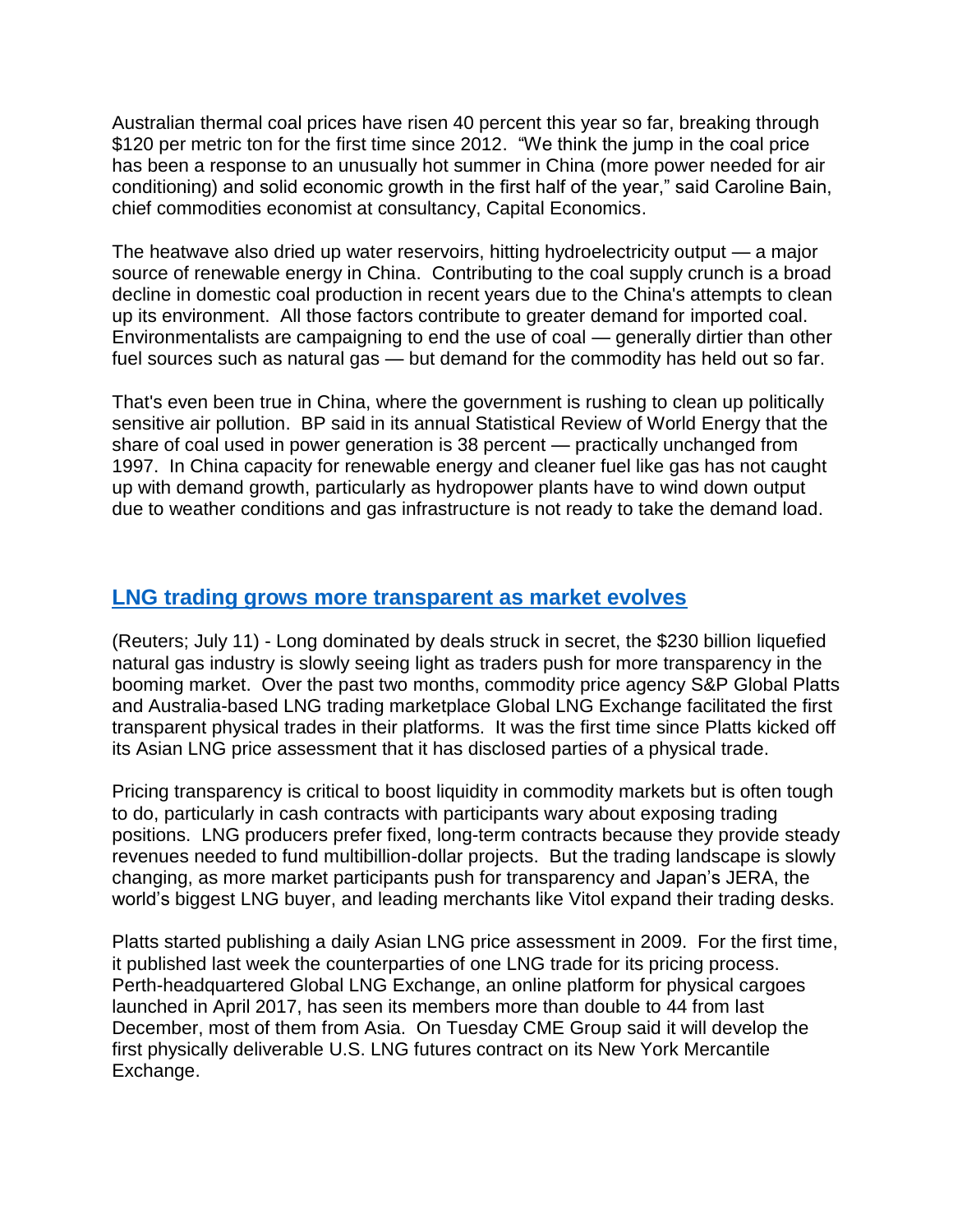Australian thermal coal prices have risen 40 percent this year so far, breaking through \$120 per metric ton for the first time since 2012. "We think the jump in the coal price has been a response to an unusually hot summer in China (more power needed for air conditioning) and solid economic growth in the first half of the year," said Caroline Bain, chief commodities economist at consultancy, Capital Economics.

The heatwave also dried up water reservoirs, hitting hydroelectricity output — a major source of renewable energy in China. Contributing to the coal supply crunch is a broad decline in domestic coal production in recent years due to the China's attempts to clean up its environment. All those factors contribute to greater demand for imported coal. Environmentalists are campaigning to end the use of coal — generally dirtier than other fuel sources such as natural gas — but demand for the commodity has held out so far.

That's even been true in China, where the government is rushing to clean up politically sensitive air pollution. BP said in its annual Statistical Review of World Energy that the share of coal used in power generation is 38 percent — practically unchanged from 1997. In China capacity for renewable energy and cleaner fuel like gas has not caught up with demand growth, particularly as hydropower plants have to wind down output due to weather conditions and gas infrastructure is not ready to take the demand load.

# **[LNG trading grows more transparent as market evolves](https://www.reuters.com/article/us-asia-lng-exchanges/booming-lng-market-steps-out-of-the-dark-as-transparency-push-grows-idUSKBN1K135K)**

(Reuters; July 11) - Long dominated by deals struck in secret, the \$230 billion liquefied natural gas industry is slowly seeing light as traders push for more transparency in the booming market. Over the past two months, commodity price agency S&P Global Platts and Australia-based LNG trading marketplace Global LNG Exchange facilitated the first transparent physical trades in their platforms. It was the first time since Platts kicked off its Asian LNG price assessment that it has disclosed parties of a physical trade.

Pricing transparency is critical to boost liquidity in commodity markets but is often tough to do, particularly in cash contracts with participants wary about exposing trading positions. LNG producers prefer fixed, long-term contracts because they provide steady revenues needed to fund multibillion-dollar projects. But the trading landscape is slowly changing, as more market participants push for transparency and Japan's JERA, the world's biggest LNG buyer, and leading merchants like Vitol expand their trading desks.

Platts started publishing a daily Asian LNG price assessment in 2009. For the first time, it published last week the counterparties of one LNG trade for its pricing process. Perth-headquartered Global LNG Exchange, an online platform for physical cargoes launched in April 2017, has seen its members more than double to 44 from last December, most of them from Asia. On Tuesday CME Group said it will develop the first physically deliverable U.S. LNG futures contract on its New York Mercantile Exchange.